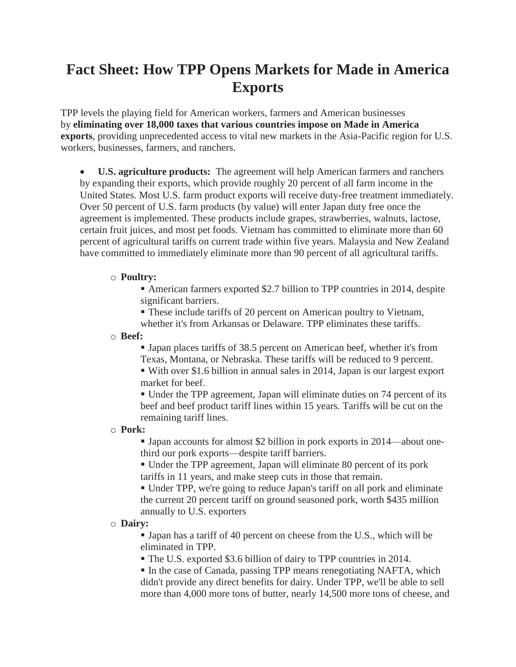# **Fact Sheet: How TPP Opens Markets for Made in America Exports**

TPP levels the playing field for American workers, farmers and American businesses by **eliminating over 18,000 taxes that various countries impose on Made in America exports**, providing unprecedented access to vital new markets in the Asia-Pacific region for U.S. workers, businesses, farmers, and ranchers.

 **U.S. agriculture products:** The agreement will help American farmers and ranchers by expanding their exports, which provide roughly 20 percent of all farm income in the United States. Most U.S. farm product exports will receive duty-free treatment immediately. Over 50 percent of U.S. farm products (by value) will enter Japan duty free once the agreement is implemented. These products include grapes, strawberries, walnuts, lactose, certain fruit juices, and most pet foods. Vietnam has committed to eliminate more than 60 percent of agricultural tariffs on current trade within five years. Malaysia and New Zealand have committed to immediately eliminate more than 90 percent of all agricultural tariffs.

## o **Poultry:**

 American farmers exported \$2.7 billion to TPP countries in 2014, despite significant barriers.

 These include tariffs of 20 percent on American poultry to Vietnam, whether it's from Arkansas or Delaware. TPP eliminates these tariffs.

o **Beef:**

 Japan places tariffs of 38.5 percent on American beef, whether it's from Texas, Montana, or Nebraska. These tariffs will be reduced to 9 percent.

 With over \$1.6 billion in annual sales in 2014, Japan is our largest export market for beef.

 Under the TPP agreement, Japan will eliminate duties on 74 percent of its beef and beef product tariff lines within 15 years. Tariffs will be cut on the remaining tariff lines.

# o **Pork:**

 Japan accounts for almost \$2 billion in pork exports in 2014—about onethird our pork exports—despite tariff barriers.

 Under the TPP agreement, Japan will eliminate 80 percent of its pork tariffs in 11 years, and make steep cuts in those that remain.

 Under TPP, we're going to reduce Japan's tariff on all pork and eliminate the current 20 percent tariff on ground seasoned pork, worth \$435 million annually to U.S. exporters

#### o **Dairy:**

 Japan has a tariff of 40 percent on cheese from the U.S., which will be eliminated in TPP.

The U.S. exported \$3.6 billion of dairy to TPP countries in 2014.

In the case of Canada, passing TPP means renegotiating NAFTA, which didn't provide any direct benefits for dairy. Under TPP, we'll be able to sell more than 4,000 more tons of butter, nearly 14,500 more tons of cheese, and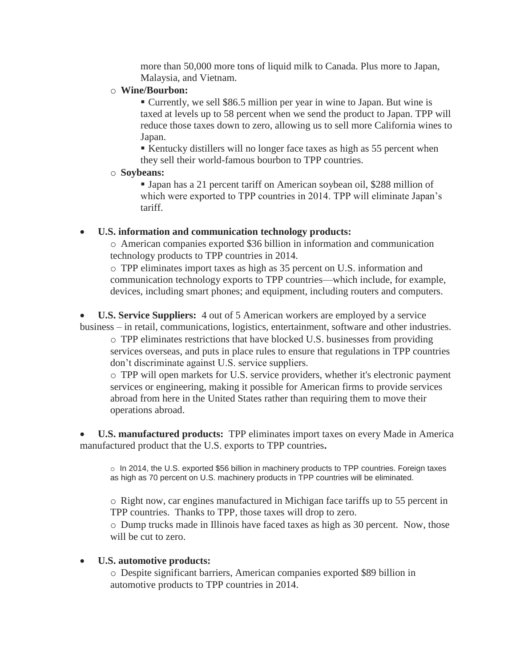more than 50,000 more tons of liquid milk to Canada. Plus more to Japan, Malaysia, and Vietnam.

## o **Wine/Bourbon:**

 Currently, we sell \$86.5 million per year in wine to Japan. But wine is taxed at levels up to 58 percent when we send the product to Japan. TPP will reduce those taxes down to zero, allowing us to sell more California wines to Japan.

 Kentucky distillers will no longer face taxes as high as 55 percent when they sell their world-famous bourbon to TPP countries.

o **Soybeans:**

 Japan has a 21 percent tariff on American soybean oil, \$288 million of which were exported to TPP countries in 2014. TPP will eliminate Japan's tariff.

# **U.S. information and communication technology products:**

o American companies exported \$36 billion in information and communication technology products to TPP countries in 2014.

o TPP eliminates import taxes as high as 35 percent on U.S. information and communication technology exports to TPP countries—which include, for example, devices, including smart phones; and equipment, including routers and computers.

 **U.S. Service Suppliers:** 4 out of 5 American workers are employed by a service business – in retail, communications, logistics, entertainment, software and other industries.

 $\circ$  TPP eliminates restrictions that have blocked U.S. businesses from providing services overseas, and puts in place rules to ensure that regulations in TPP countries don't discriminate against U.S. service suppliers.

o TPP will open markets for U.S. service providers, whether it's electronic payment services or engineering, making it possible for American firms to provide services abroad from here in the United States rather than requiring them to move their operations abroad.

 **U.S. manufactured products:** TPP eliminates import taxes on every Made in America manufactured product that the U.S. exports to TPP countries**.**

o In 2014, the U.S. exported \$56 billion in machinery products to TPP countries. Foreign taxes as high as 70 percent on U.S. machinery products in TPP countries will be eliminated.

o Right now, car engines manufactured in Michigan face tariffs up to 55 percent in TPP countries. Thanks to TPP, those taxes will drop to zero.

o Dump trucks made in Illinois have faced taxes as high as 30 percent. Now, those will be cut to zero.

# **U.S. automotive products:**

o Despite significant barriers, American companies exported \$89 billion in automotive products to TPP countries in 2014.